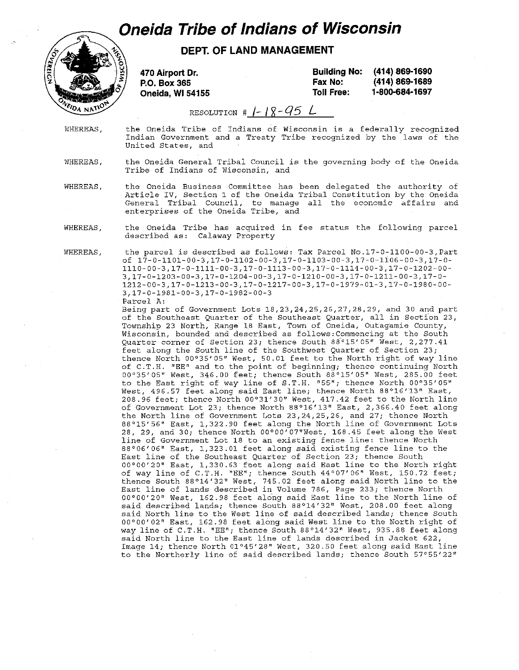## *Oneida Tribe of Indians of Wisconsin*



**DEPT. OF LAND MANAGEMENT** 

470 Airport Dr. P.O. Box 365 Oneida, WI 54155

Building No: Fax No: Toll Free: (414) 869-1690 (414) 869-1689 1·800·684-1697

RESOLUTION #  $1 - 18 - 95$  L

WHEREAS, the Oneida Tribe of Indians of Wisconsin is a federally recognized Indian Government and a Treaty Tribe recognized by the laws of the United States, and

WHEREAS, the Oneida General Tribal Council is the governing body of the Oneida Tribe of Indians of Wisconsin, and

WHEREAS, the Oneida Business -Committee has been delegated the authority of Article IV, Section 1 of the Oneida Tribal Constitution by the Oneida General Tribal Council, to manage all the economic affairs and enterprises of the Oneida Tribe, and

WHEREAS, the Oneida Tribe has acquired in fee status the following parcel described as: Calaway Property

WHEREAS,

the parcel is described as follows: Tax Parcel No.17-0-1100-00-3,Part of 17-0-1101-00-3,17-0-1102-00-3,17-0-1103-00-3,17-0-1106-00-3,17-0- 1110-00-3,17-0-1111-00-3,17-0-1113-00-3,17-0-1114-00-3,17-0-1202-00- 3,17-0-1203-00-3,17-0-1204-00-3,17-0-1210-00-3,17-0-1211-00-3,17-0- 1212-00-3,17-0-1213-00-3,17-0-1217-00-3,17-0-1979-01-3,17-0-1980-00- 3,17-0-1981-00-3,17-0-1982-00-3 Parcel A:

Being part of Government Lots 18,23,24,25,26,27,28,29, and 30 and part of the Southeast Quarter of the Southeast Quarter, all in Section 23, Township 23 North, Range 18 East, Town of Oneida, Outagamie County, Wisconsin, bounded and described as follows:Commencing at the South Quarter corner of Section 23; thence South  $88^{\circ}15'05''$  West, 2,277.41 feet along the South line of the Southwest Quarter of Section 23; thence North 00°35'05" West, 50.01 feet to the North right of way line of C.T.H. "EE" and to the point of beginning; thence continuing North 00°35'05" West, 346.00 feet; thence South 88°15'05" West, 285.00 feet to the East right of way line of S.T.H. "55"; thence North 00°35'05" West, 496.57 feet along said East line; thence North 88°16'13" East, 208.96 feet; thence North 00°31'30" West, 417.42 feet to the North line of Government Lot 23; thence North 88°16'13" East, 2,366.40 feet along the North line of Government Lots 23,24,25,26, and 27; thence North 88°15'56" East, 1,322.90 feet along the North line of Government Lots 28, 29, and 30; thence North 00000'07"West, 168.45 feet along the West line of Government Lot 18 to an existing fence line: thence North 88°06'06" East, 1,323.01 feet along said existing fence line to the East line of the Southeast Quarter of Section 23; thence South adso fine of the boddhods gadreer or secret by theme seads.<br>00°00'20" East, 1,330.63 feet along said East line to the North right of way line of C.T.H. "EE"; thence South 44°07'06" West, 150.72 feet; thence South 88°14'32" West, 745.02 feet along said North line to the East line of lands described in Volume 786, Page 233; thence North 00°00'20" West, 162.98 feet along said East line to the North line of said described lands; thence South 88°14'32 11 West, 208.00 feet along said North line to the West line of said described lands; thence South 00°00'0211 East, 162.98 feet along said West line to the North right of way line of C.T.H. "EE"; thence South 88°14'32" West, 935.88 feet along said North line to the East line of lands described in Jacket 622, Image 14; thence North 01°45'28" West, 320.50 feet along said East line to the Northerly line of said described lands; thence South 57°55'22"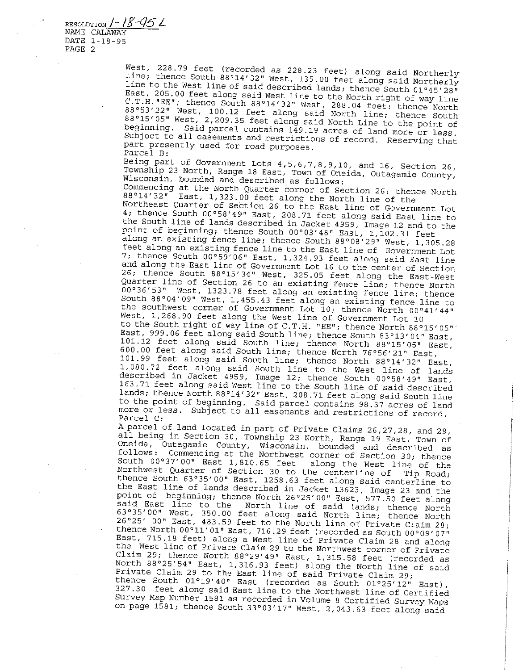RESOLUTION *J* - / *g -q5 L*  NAME CALAWAY DATE 1-18-95 PAGE 2

> West, 228.79 feet (recorded as 228.23 feet) along said Northerly line; thence South 88°14'32" West, 135.00 feet along said Northerly **line to the West line of said described lands; thence South 01°45' 28 <sup>11</sup>** East, 205.00 feet along said West line to the North right of way line **C.T.H. "EE";** thence South 88°14'32" West, 288.04 feet: thence North 88'53'22" West, 100.12 feet along said North line; thence South **88°l5'OS!! West, 2,209.35 feet along said North Line to the point of beginning. Said parcel contains 149.19 acres of land more or less. Subject to all easements and restrictions of record. Reserving that**  part presently used for road purposes. Parcel B:

> Being part of Government Lots 4,5,6,7,8,9,10, and 16, Section 26, **Township 23 North, Range 18 East, Town of Oneida, Outagamie County, Wisconsin, bounded and described as follows:**

> **Commencing at the North Quarter corner of Section 26; thence North**  88'14'32" East, 1,323.00 feet along the North line of the

> Northeast Quarter of Section 26 to the East line of Government Lot **4; thence South 00°58'49 11 East, 208.71 feet along said East line to**  the South line of lands described in Jacket 4959, Image 12 and to the point of beginning; thence South 00°03'48" East, 1,102.31 feet

> along an existing fence line; thence South 88°08'29" West, 1,305.28 **feet along an existing fence line to the East line of Government Lot**  7; thence South 00°59'06" East, 1,324.93 feet along said East line **and along the East line of Government Lot 16 to the center of Section**  26; thence South 88'15' 34" West, 325.05 feet along the East-West **Quarter line of Section 26 to an existing fence line; thence North 00°36'53 11 West, 1323.78 feet along an existing fence line; thence South 88°04'09'1 West, 1,455.43 feet along an existing fence line to the southwest corner of Government Lot 10; thence North 00°41'44"**  West, 1,268.90 feet along the West line of Government Lot 10

to the South right of way line of C.T.H. "EE"; thence North 88°15' 05" East, 999.06 feet along said South line; thence South 83°13'04" East, 101.12 feet along said South line; thence North 88°15'05" East, 600.00 feet along said South line; thence North 76'56'21" East, 101. 99 feet along said South line; thence North 88 °14' 32" East, 1,080.72 feet along said South line to the West line of lands described in Jacket 4959, Image 12; thence South 00'58'49" East, 163.71 feet along said West line to the South line of said described lands; thence North 88°14'32" East, 208.71 feet along said South line to the point of beginning. Said parcel contains 98.37 acres of land **more or less. Subject to all easements and restrictions of record.**  Parcel C:

A parcel of land located in part of Private Claims 26,27,28, and 29, all being in Section 30, Township 23 North, Range 19 East, Town of **Oneida, Outagamie County, Wisconsin, bounded and described as follows: Commencing at the Northwest corner of Section 30; thence**  South 00'37'00" East 1,810.65 feet along the West line of the Northwest Quarter of Section 30 to the centerline of Tip Road; thence South 63°35'00" East, 1258.63 feet along said centerline to the East line of lands described in Jacket 13623, Image 23 and the point of beginning; thence North 26'25'00" East, 577.50 feet along said East line to the North line of said lands; thence North 63°35'00" West, 350.00 feet along said North line; thence North 26°25' 00" East, 483.59 feet to the North line of Private Claim 28; **thence North 00°11'01" East, 716.29 feet (recorded as South 00°09'07"** East, 715.18 feet) along a West line of Private Claim 28 and along **the West line of Private Claim 29 to the Northwest corner of Private**  Claim 29; thence North 88'29'49" East, 1,315.58 feet (recorded as North 88'25'54" East, 1,316.93 feet) along the North line of said Private Claim 29 to the East line of said Private Claim 29; **thence South 01°19'40" East (recorded as South 01°25' 12" East),**  327.30 feet along said East line to the Northwest line of Certified Survey Map Number 1581 as recorded in Volume 8 Certified Survey Maps

on page 1581; thence South 33°03'17" West, 2,043.63 feet along said